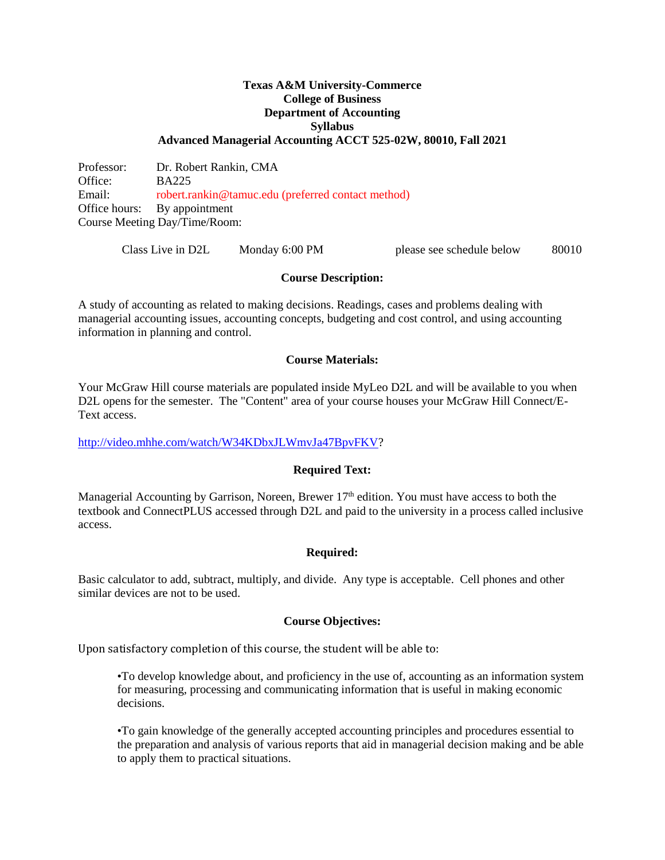### **Texas A&M University-Commerce College of Business Department of Accounting Syllabus Advanced Managerial Accounting ACCT 525-02W, 80010, Fall 2021**

Professor: Dr. Robert Rankin, CMA Office: BA225 Email: robert.rankin@tamuc.edu (preferred contact method) Office hours: By appointment Course Meeting Day/Time/Room:

Class Live in D2L Monday 6:00 PM please see schedule below 80010

## **Course Description:**

A study of accounting as related to making decisions. Readings, cases and problems dealing with managerial accounting issues, accounting concepts, budgeting and cost control, and using accounting information in planning and control.

#### **Course Materials:**

Your McGraw Hill course materials are populated inside MyLeo D2L and will be available to you when D2L opens for the semester. The "Content" area of your course houses your McGraw Hill Connect/E-Text access.

[http://video.mhhe.com/watch/W34KDbxJLWmvJa47BpvFKV?](http://video.mhhe.com/watch/W34KDbxJLWmvJa47BpvFKV)

## **Required Text:**

Managerial Accounting by Garrison, Noreen, Brewer 17<sup>th</sup> edition. You must have access to both the textbook and ConnectPLUS accessed through D2L and paid to the university in a process called inclusive access.

## **Required:**

Basic calculator to add, subtract, multiply, and divide. Any type is acceptable. Cell phones and other similar devices are not to be used.

## **Course Objectives:**

Upon satisfactory completion of this course, the student will be able to:

•To develop knowledge about, and proficiency in the use of, accounting as an information system for measuring, processing and communicating information that is useful in making economic decisions.

•To gain knowledge of the generally accepted accounting principles and procedures essential to the preparation and analysis of various reports that aid in managerial decision making and be able to apply them to practical situations.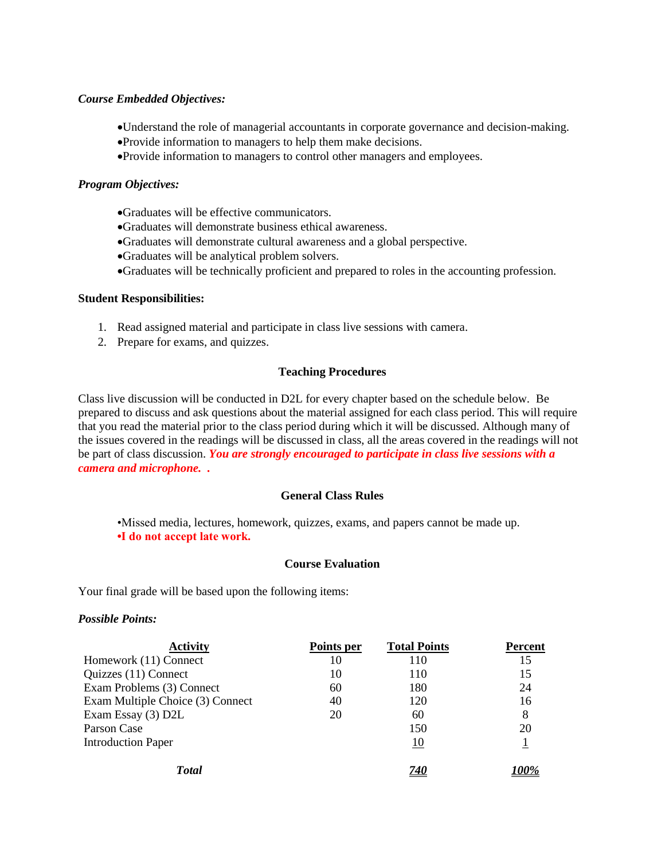#### *Course Embedded Objectives:*

- Understand the role of managerial accountants in corporate governance and decision-making.
- Provide information to managers to help them make decisions.
- Provide information to managers to control other managers and employees.

#### *Program Objectives:*

- Graduates will be effective communicators.
- Graduates will demonstrate business ethical awareness.
- Graduates will demonstrate cultural awareness and a global perspective.
- Graduates will be analytical problem solvers.
- Graduates will be technically proficient and prepared to roles in the accounting profession.

#### **Student Responsibilities:**

- 1. Read assigned material and participate in class live sessions with camera.
- 2. Prepare for exams, and quizzes.

## **Teaching Procedures**

Class live discussion will be conducted in D2L for every chapter based on the schedule below. Be prepared to discuss and ask questions about the material assigned for each class period. This will require that you read the material prior to the class period during which it will be discussed. Although many of the issues covered in the readings will be discussed in class, all the areas covered in the readings will not be part of class discussion. *You are strongly encouraged to participate in class live sessions with a camera and microphone. .*

### **General Class Rules**

•Missed media, lectures, homework, quizzes, exams, and papers cannot be made up. **•I do not accept late work.**

## **Course Evaluation**

Your final grade will be based upon the following items:

#### *Possible Points:*

| <b>Activity</b>                  | Points per | <b>Total Points</b> | Percent |
|----------------------------------|------------|---------------------|---------|
| Homework (11) Connect            | 10         | 110                 | 15      |
| Quizzes (11) Connect             | 10         | 110                 | 15      |
| Exam Problems (3) Connect        | 60         | 180                 | 24      |
| Exam Multiple Choice (3) Connect | 40         | 120                 | 16      |
| Exam Essay (3) D2L               | 20         | 60                  | 8       |
| Parson Case                      |            | 150                 | 20      |
| <b>Introduction Paper</b>        |            | <u>10</u>           |         |
| <b>T</b> otal                    |            | <i>740</i>          |         |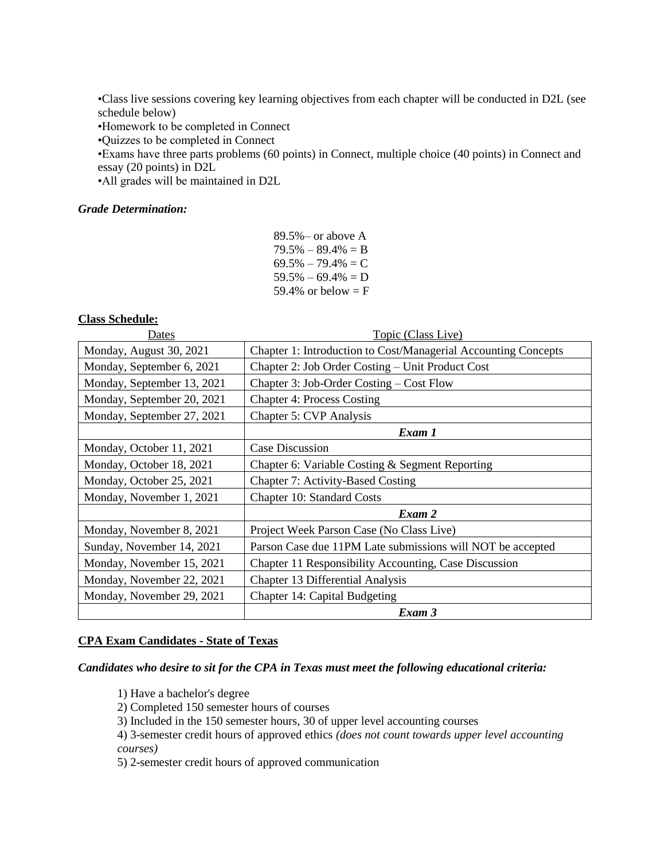•Class live sessions covering key learning objectives from each chapter will be conducted in D2L (see schedule below)

•Homework to be completed in Connect

•Quizzes to be completed in Connect

•Exams have three parts problems (60 points) in Connect, multiple choice (40 points) in Connect and essay (20 points) in D2L

•All grades will be maintained in D2L

#### *Grade Determination:*

89.5%– or above A  $79.5\% - 89.4\% = B$  $69.5\% - 79.4\% = C$  $59.5\% - 69.4\% = D$ 59.4% or below  $=$  F

#### **Class Schedule:**

Dates Topic (Class Live) Monday, August 30, 2021 Chapter 1: Introduction to Cost/Managerial Accounting Concepts Monday, September 6, 2021 Chapter 2: Job Order Costing – Unit Product Cost Monday, September 13, 2021 Chapter 3: Job-Order Costing – Cost Flow Monday, September 20, 2021 | Chapter 4: Process Costing Monday, September 27, 2021 Chapter 5: CVP Analysis *Exam 1* Monday, October 11, 2021 Case Discussion Monday, October 18, 2021 Chapter 6: Variable Costing & Segment Reporting Monday, October 25, 2021 Chapter 7: Activity-Based Costing Monday, November 1, 2021 Chapter 10: Standard Costs *Exam 2* Monday, November 8, 2021 Project Week Parson Case (No Class Live) Sunday, November 14, 2021 Parson Case due 11PM Late submissions will NOT be accepted Monday, November 15, 2021 Chapter 11 Responsibility Accounting, Case Discussion Monday, November 22, 2021 | Chapter 13 Differential Analysis Monday, November 29, 2021 | Chapter 14: Capital Budgeting *Exam 3*

#### **CPA Exam Candidates - State of Texas**

#### *Candidates who desire to sit for the CPA in Texas must meet the following educational criteria:*

1) Have a bachelor's degree

2) Completed 150 semester hours of courses

3) Included in the 150 semester hours, 30 of upper level accounting courses

4) 3-semester credit hours of approved ethics *(does not count towards upper level accounting courses)*

5) 2-semester credit hours of approved communication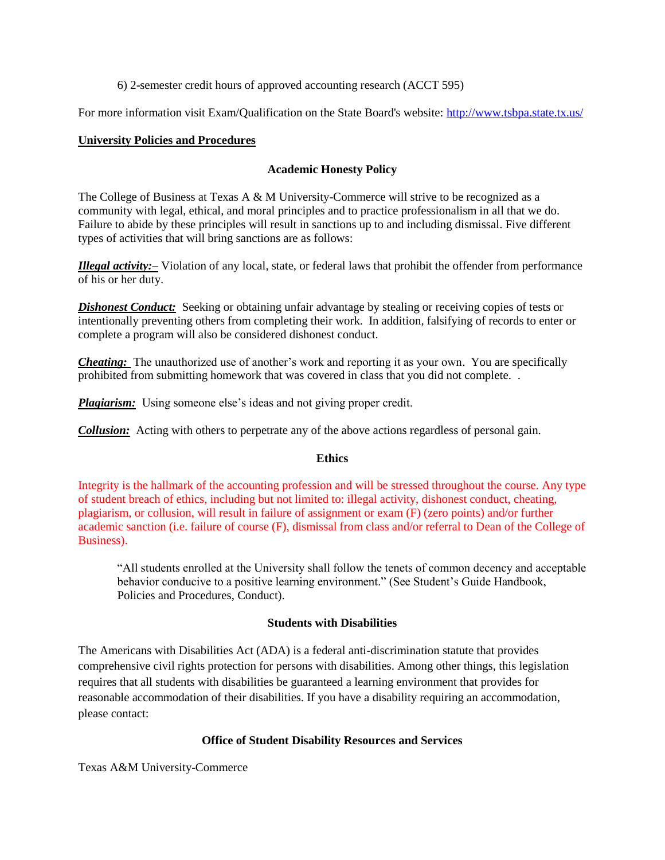## 6) 2-semester credit hours of approved accounting research (ACCT 595)

For more information visit Exam/Qualification on the State Board's website:<http://www.tsbpa.state.tx.us/>

# **University Policies and Procedures**

## **Academic Honesty Policy**

The College of Business at Texas A & M University-Commerce will strive to be recognized as a community with legal, ethical, and moral principles and to practice professionalism in all that we do. Failure to abide by these principles will result in sanctions up to and including dismissal. Five different types of activities that will bring sanctions are as follows:

*Illegal activity:–* Violation of any local, state, or federal laws that prohibit the offender from performance of his or her duty.

**Dishonest Conduct:** Seeking or obtaining unfair advantage by stealing or receiving copies of tests or intentionally preventing others from completing their work. In addition, falsifying of records to enter or complete a program will also be considered dishonest conduct.

*Cheating:* The unauthorized use of another's work and reporting it as your own. You are specifically prohibited from submitting homework that was covered in class that you did not complete. .

*Plagiarism:* Using someone else's ideas and not giving proper credit.

*Collusion:* Acting with others to perpetrate any of the above actions regardless of personal gain.

## **Ethics**

Integrity is the hallmark of the accounting profession and will be stressed throughout the course. Any type of student breach of ethics, including but not limited to: illegal activity, dishonest conduct, cheating, plagiarism, or collusion, will result in failure of assignment or exam (F) (zero points) and/or further academic sanction (i.e. failure of course (F), dismissal from class and/or referral to Dean of the College of Business).

"All students enrolled at the University shall follow the tenets of common decency and acceptable behavior conducive to a positive learning environment." (See Student's Guide Handbook, Policies and Procedures, Conduct).

## **Students with Disabilities**

The Americans with Disabilities Act (ADA) is a federal anti-discrimination statute that provides comprehensive civil rights protection for persons with disabilities. Among other things, this legislation requires that all students with disabilities be guaranteed a learning environment that provides for reasonable accommodation of their disabilities. If you have a disability requiring an accommodation, please contact:

# **Office of Student Disability Resources and Services**

Texas A&M University-Commerce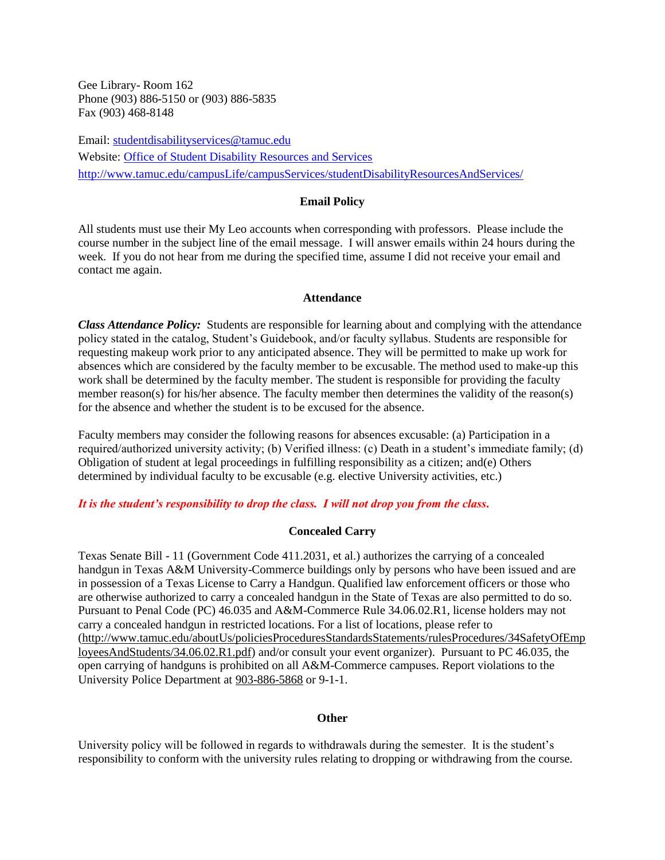Gee Library- Room 162 Phone (903) 886-5150 or (903) 886-5835 Fax (903) 468-8148

Email: [studentdisabilityservices@tamuc.edu](mailto:studentdisabilityservices@tamuc.edu) Website: [Office of Student Disability Resources and Services](http://www.tamuc.edu/campusLife/campusServices/studentDisabilityResourcesAndServices/) <http://www.tamuc.edu/campusLife/campusServices/studentDisabilityResourcesAndServices/>

#### **Email Policy**

All students must use their My Leo accounts when corresponding with professors. Please include the course number in the subject line of the email message. I will answer emails within 24 hours during the week. If you do not hear from me during the specified time, assume I did not receive your email and contact me again.

#### **Attendance**

*Class Attendance Policy:* Students are responsible for learning about and complying with the attendance policy stated in the catalog, Student's Guidebook, and/or faculty syllabus. Students are responsible for requesting makeup work prior to any anticipated absence. They will be permitted to make up work for absences which are considered by the faculty member to be excusable. The method used to make-up this work shall be determined by the faculty member. The student is responsible for providing the faculty member reason(s) for his/her absence. The faculty member then determines the validity of the reason(s) for the absence and whether the student is to be excused for the absence.

Faculty members may consider the following reasons for absences excusable: (a) Participation in a required/authorized university activity; (b) Verified illness: (c) Death in a student's immediate family; (d) Obligation of student at legal proceedings in fulfilling responsibility as a citizen; and(e) Others determined by individual faculty to be excusable (e.g. elective University activities, etc.)

## *It is the student's responsibility to drop the class. I will not drop you from the class.*

## **Concealed Carry**

Texas Senate Bill - 11 (Government Code 411.2031, et al.) authorizes the carrying of a concealed handgun in Texas A&M University-Commerce buildings only by persons who have been issued and are in possession of a Texas License to Carry a Handgun. Qualified law enforcement officers or those who are otherwise authorized to carry a concealed handgun in the State of Texas are also permitted to do so. Pursuant to Penal Code (PC) 46.035 and A&M-Commerce Rule 34.06.02.R1, license holders may not carry a concealed handgun in restricted locations. For a list of locations, please refer to [\(http://www.tamuc.edu/aboutUs/policiesProceduresStandardsStatements/rulesProcedures/34SafetyOfEmp](http://www.tamuc.edu/aboutUs/policiesProceduresStandardsStatements/rulesProcedures/34SafetyOfEmployeesAndStudents/34.06.02.R1.pdf) [loyeesAndStudents/34.06.02.R1.pdf\)](http://www.tamuc.edu/aboutUs/policiesProceduresStandardsStatements/rulesProcedures/34SafetyOfEmployeesAndStudents/34.06.02.R1.pdf) and/or consult your event organizer). Pursuant to PC 46.035, the open carrying of handguns is prohibited on all A&M-Commerce campuses. Report violations to the University Police Department at [903-886-5868](tel:903-886-5868) or 9-1-1.

## **Other**

University policy will be followed in regards to withdrawals during the semester. It is the student's responsibility to conform with the university rules relating to dropping or withdrawing from the course.